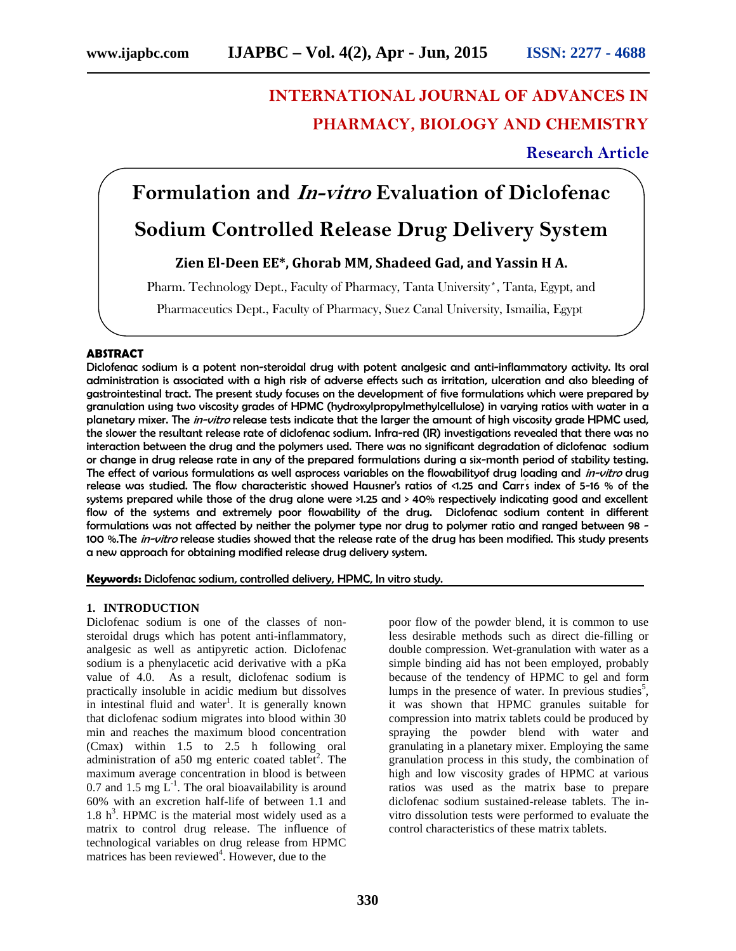# **INTERNATIONAL JOURNAL OF ADVANCES IN PHARMACY, BIOLOGY AND CHEMISTRY**

# **Research Article**

# **Formulation and** *In-vitro* **Evaluation of Diclofenac**

# **Sodium Controlled Release Drug Delivery System**

# **Zien El-Deen EE\*, Ghorab MM, Shadeed Gad, and Yassin H A.**

Pharm. Technology Dept., Faculty of Pharmacy, Tanta University\*, Tanta, Egypt, and

Pharmaceutics Dept., Faculty of Pharmacy, Suez Canal University, Ismailia, Egypt

#### **ABSTRACT**

Diclofenac sodium is a potent non-steroidal drug with potent analgesic and anti-inflammatory activity. Its oral administration is associated with a high risk of adverse effects such as irritation, ulceration and also bleeding of gastrointestinal tract. The present study focuses on the development of five formulations which were prepared by granulation using two viscosity grades of HPMC (hydroxylpropylmethylcellulose) in varying ratios with water in a planetary mixer. The *in-vitro* release tests indicate that the larger the amount of high viscosity grade HPMC used, the slower the resultant release rate of diclofenac sodium. Infra-red (IR) investigations revealed that there was no interaction between the drug and the polymers used. There was no significant degradation of diclofenac sodium or change in drug release rate in any of the prepared formulations during a six-month period of stability testing. The effect of various formulations as well asprocess variables on the flowabilityof drug loading and *in-vitro* drug release was studied. The flow characteristic showed Hausner's ratios of <1.25 and Carr's index of 5-16 % of the systems prepared while those of the drug alone were >1.25 and > 40% respectively indicating good and excellent flow of the systems and extremely poor flowability of the drug. Diclofenac sodium content in different formulations was not affected by neither the polymer type nor drug to polymer ratio and ranged between 98 - 100 %.The *in-vitro* release studies showed that the release rate of the drug has been modified. This study presents a new approach for obtaining modified release drug delivery system.

**Keywords:** Diclofenac sodium, controlled delivery, HPMC, In vitro study.

#### **1. INTRODUCTION**

Diclofenac sodium is one of the classes of non steroidal drugs which has potent anti-inflammatory, analgesic as well as antipyretic action. Diclofenac sodium is a phenylacetic acid derivative with a pKa value of 4.0. As a result, diclofenac sodium is practically insoluble in acidic medium but dissolves in intestinal fluid and water<sup>1</sup>. It is generally known that diclofenac sodium migrates into blood within 30 min and reaches the maximum blood concentration (Cmax) within 1.5 to 2.5 h following oral administration of a50 mg enteric coated tablet<sup>2</sup>. The maximum average concentration in blood is between 0.7 and 1.5 mg  $\mathbf{L}^{-1}$ . The oral bioavailability is around 60% with an excretion half-life of between 1.1 and 1.8  $h^3$ . HPMC is the material most widely used as a matrix to control drug release. The influence of technological variables on drug release from HPMC matrices has been reviewed<sup>4</sup>. However, due to the

poor flow of the powder blend, it is common to use less desirable methods such as direct die-filling or double compression. Wet-granulation with water as a simple binding aid has not been employed, probably because of the tendency of HPMC to gel and form lumps in the presence of water. In previous studies<sup>5</sup>, it was shown that HPMC granules suitable for compression into matrix tablets could be produced by spraying the powder blend with water and granulating in a planetary mixer. Employing the same granulation process in this study, the combination of high and low viscosity grades of HPMC at various ratios was used as the matrix base to prepare diclofenac sodium sustained-release tablets. The in vitro dissolution tests were performed to evaluate the control characteristics of these matrix tablets.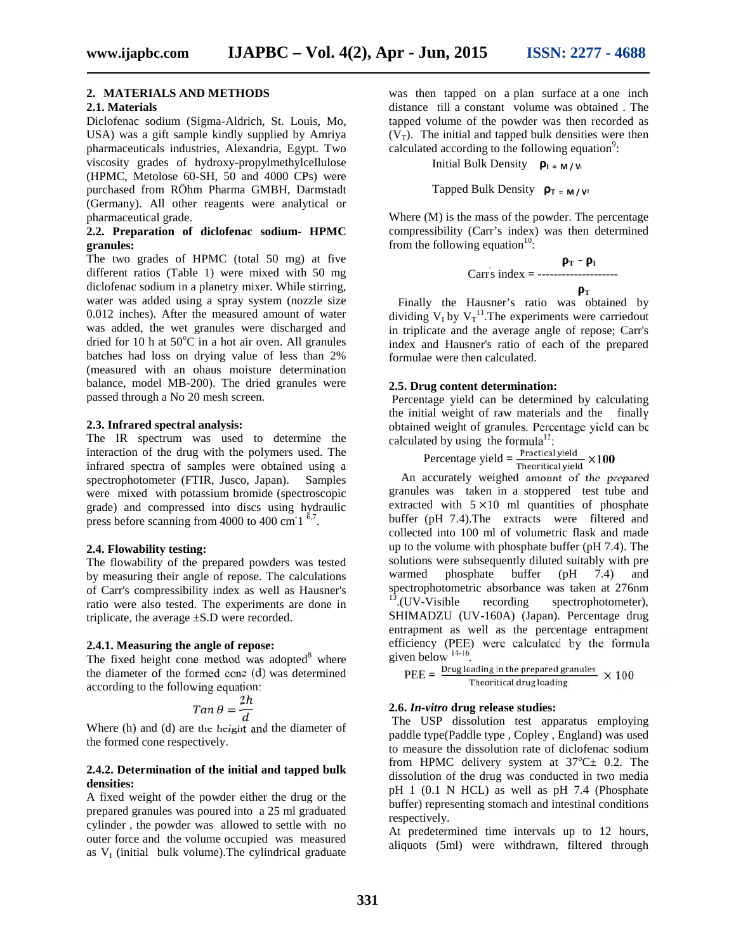**T**

## **2. MATERIALS AND METHODS**

#### **2.1. Materials**

Diclofenac sodium (Sigma-Aldrich, St. Louis, Mo, USA) was a gift sample kindly supplied by Amriya pharmaceuticals industries, Alexandria, Egypt. Two viscosity grades of hydroxy-propylmethylcellulose (HPMC, Metolose 60-SH, 50 and 4000 CPs) were purchased from RÖhm Pharma GMBH, Darmstadt (Germany). All other reagents were analytical or pharmaceutical grade.

#### **2.2. Preparation of diclofenac sodium- HPMC granules:**

The two grades of HPMC (total 50 mg) at five different ratios (Table 1) were mixed with 50 mg diclofenac sodium in a planetry mixer. While stirring, water was added using a spray system (nozzle size 0.012 inches). After the measured amount of water was added, the wet granules were discharged and dried for 10 h at  $50^{\circ}$ C in a hot air oven. All granules batches had loss on drying value of less than 2% (measured with an ohaus moisture determination balance, model MB-200). The dried granules were passed through a No 20 mesh screen.

#### **2.3. Infrared spectral analysis:**

The IR spectrum was used to determine the interaction of the drug with the polymers used. The infrared spectra of samples were obtained using a spectrophotometer (FTIR, Jusco, Japan). Samples were mixed with potassium bromide (spectroscopic grade) and compressed into discs using hydraulic press before scanning from 4000 to 400 cm  $1^{-6.7}$ .

#### **2.4. Flowability testing:**

The flowability of the prepared powders was tested solutions<br>by measuring their angle of repose. The calculations warmed by measuring their angle of repose. The calculations of Carr's compressibility index as well as Hausner's ratio were also tested. The experiments are done in triplicate, the average ±S.D were recorded.

#### **2.4.1. Measuring the angle of repose:**

The fixed height cone method was adopted $8$  where the diameter of the formed cone (d) was determined according to the following equation:

$$
Tan \theta = \frac{2h}{d}
$$

Where (h) and (d) are the height and the diameter of the formed cone respectively.

#### **2.4.2. Determination of the initial and tapped bulk densities:**

A fixed weight of the powder either the drug or the prepared granules was poured into a 25 ml graduated cylinder , the powder was allowed to settle with no outer force and the volume occupied was measured as  $V_I$  (initial bulk volume). The cylindrical graduate

was then tapped on a plan surface at a one inch distance till a constant volume was obtained . The tapped volume of the powder was then recorded as  $(V_T)$ . The initial and tapped bulk densities were then calculated according to the following equation $\degree$ :

Initial Bulk Density **ρ**<sub>I = M/W</sub>

Tapped Bulk Density  $\rho_{\text{T}} = M/V_{\text{T}}$ 

Where (M) is the mass of the powder. The percentage compressibility (Carr's index) was then determined from the following equation<sup>10</sup>:

$$
r - r
$$
  
Carrs index = 1

Finally the Hausner's ratio was obtained by dividing  $V_I$  by  $V_T$ <sup>11</sup>. The experiments were carriedout in triplicate and the average angle of repose; Carr's index and Hausner's ratio of each of the prepared formulae were then calculated.

#### **2.5. Drug content determination:**

Percentage yield can be determined by calculating the initial weight of raw materials and the finally obtained weight of granules. Percentage yield can be calculated by using the formula<sup>12</sup>:

Percentage yield  $=$   $\frac{\text{Practical yield}}{\text{Theoretical yield}} \times 100$ 

An accurately weighed amount of the prepared granules was taken in a stoppered test tube and extracted with  $5 \times 10$  ml quantities of phosphate buffer (pH 7.4).The extracts were filtered and collected into 100 ml of volumetric flask and made up to the volume with phosphate buffer (pH 7.4). The solutions were subsequently diluted suitably with pre phosphate buffer  $(pH 7.4)$  and spectrophotometric absorbance was taken at 276nm  $13$ . (UV-Visible recording spectrophotometer), SHIMADZU (UV-160A) (Japan). Percentage drug entrapment as well as the percentage entrapment efficiency (PEE) were calculated by the formula given below 14-16 .

$$
PEE = \frac{Drug~loading~in~the~prepared~granules}{Theoretical drug~loading} \times 100
$$

## **2.6.** *In-vitro* **drug release studies:**

The USP dissolution test apparatus employing paddle type(Paddle type , Copley , England) was used to measure the dissolution rate of diclofenac sodium from HPMC delivery system at  $37^{\circ}$ C $\pm$  0.2. The dissolution of the drug was conducted in two media pH 1 (0.1 N HCL) as well as pH 7.4 (Phosphate buffer) representing stomach and intestinal conditions respectively.

At predetermined time intervals up to 12 hours, aliquots (5ml) were withdrawn, filtered through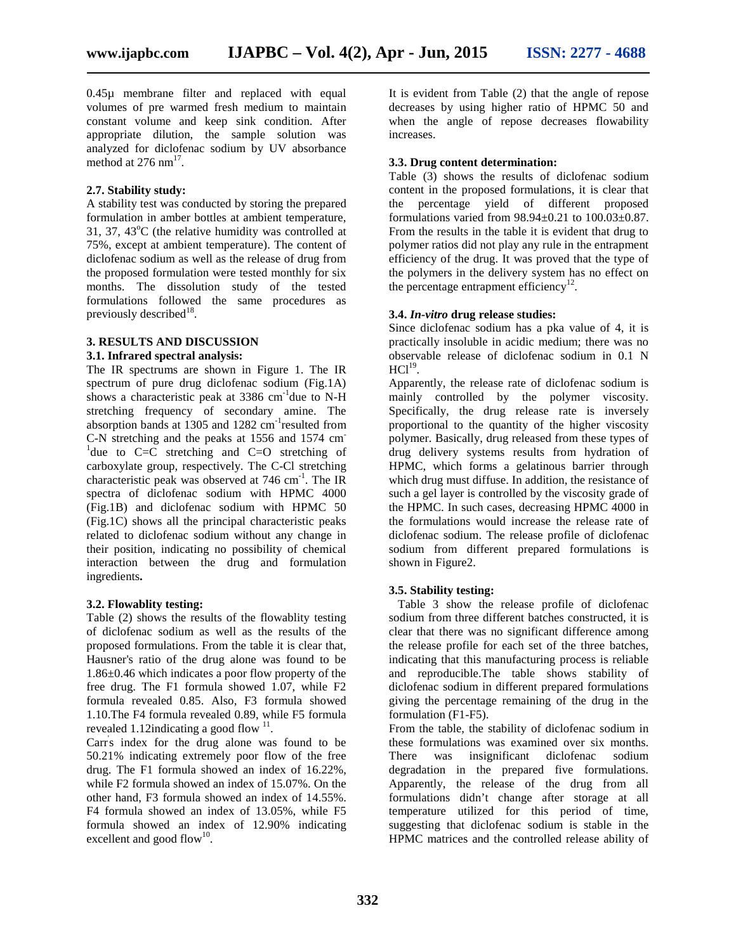0.45µ membrane filter and replaced with equal volumes of pre warmed fresh medium to maintain constant volume and keep sink condition. After appropriate dilution, the sample solution was analyzed for diclofenac sodium by UV absorbance method at  $276 \text{ nm}^{17}$ .

#### **2.7. Stability study:**

A stability test was conducted by storing the prepared formulation in amber bottles at ambient temperature, 31, 37, 43 $^{\circ}$ C (the relative humidity was controlled at 75%, except at ambient temperature). The content of diclofenac sodium as well as the release of drug from the proposed formulation were tested monthly for six months. The dissolution study of the tested formulations followed the same procedures as previously described $^{18}$ .

# **3. RESULTS AND DISCUSSION**

# **3.1. Infrared spectral analysis:**

The IR spectrums are shown in Figure 1. The IR spectrum of pure drug diclofenac sodium (Fig.1A) shows a characteristic peak at  $3386 \text{ cm}^{-1}$  due to N-H stretching frequency of secondary amine. The absorption bands at 1305 and 1282 cm<sup>-1</sup>resulted from propo C-N stretching and the peaks at 1556 and 1574 cm<sup>-1</sup>due to C=C stretching and C=O stretching of carboxylate group, respectively. The C-Cl stretching characteristic peak was observed at  $746 \text{ cm}^{-1}$ . The IR which spectra of diclofenac sodium with HPMC 4000 (Fig.1B) and diclofenac sodium with HPMC 50 (Fig.1C) shows all the principal characteristic peaks related to diclofenac sodium without any change in their position, indicating no possibility of chemical interaction between the drug and formulation ingredients**.**

#### **3.2. Flowablity testing:**

Table (2) shows the results of the flowablity testing of diclofenac sodium as well as the results of the proposed formulations. From the table it is clear that, Hausner's ratio of the drug alone was found to be 1.86±0.46 which indicates a poor flow property of the free drug. The F1 formula showed 1.07, while F2 formula revealed 0.85. Also, F3 formula showed 1.10.The F4 formula revealed 0.89, while F5 formula revealed 1.12 indicating a good flow  $11$ .

Carr's index for the drug alone was found to be 50.21% indicating extremely poor flow of the free drug. The F1 formula showed an index of 16.22%, while F2 formula showed an index of 15.07%. On the other hand, F3 formula showed an index of 14.55%. F4 formula showed an index of 13.05%, while F5 formula showed an index of 12.90% indicating excellent and good flow<sup>10</sup>.

It is evident from Table (2) that the angle of repose decreases by using higher ratio of HPMC 50 and when the angle of repose decreases flowability increases.

#### **3.3. Drug content determination:**

Table (3) shows the results of diclofenac sodium content in the proposed formulations, it is clear that the percentage yield of different proposed formulations varied from 98.94±0.21 to 100.03±0.87. From the results in the table it is evident that drug to polymer ratios did not play any rule in the entrapment efficiency of the drug. It was proved that the type of the polymers in the delivery system has no effect on the percentage entrapment efficiency<sup>12</sup>.

#### **3.4.** *In-vitro* **drug release studies:**

Since diclofenac sodium has a pka value of 4, it is practically insoluble in acidic medium; there was no observable release of diclofenac sodium in 0.1 N  $\mathrm{HCl}^{19}$ .

Apparently, the release rate of diclofenac sodium is mainly controlled by the polymer viscosity. Specifically, the drug release rate is inversely proportional to the quantity of the higher viscosity polymer. Basically, drug released from these types of drug delivery systems results from hydration of HPMC, which forms a gelatinous barrier through which drug must diffuse. In addition, the resistance of such a gel layer is controlled by the viscosity grade of the HPMC. In such cases, decreasing HPMC 4000 in the formulations would increase the release rate of diclofenac sodium. The release profile of diclofenac sodium from different prepared formulations is shown in Figure2.

#### **3.5. Stability testing:**

Table 3 show the release profile of diclofenac sodium from three different batches constructed, it is clear that there was no significant difference among the release profile for each set of the three batches, indicating that this manufacturing process is reliable and reproducible.The table shows stability of diclofenac sodium in different prepared formulations giving the percentage remaining of the drug in the formulation (F1-F5).

From the table, the stability of diclofenac sodium in these formulations was examined over six months. There was insignificant diclofenac sodium degradation in the prepared five formulations. Apparently, the release of the drug from all formulations didn't change after storage at all temperature utilized for this period of time, suggesting that diclofenac sodium is stable in the HPMC matrices and the controlled release ability of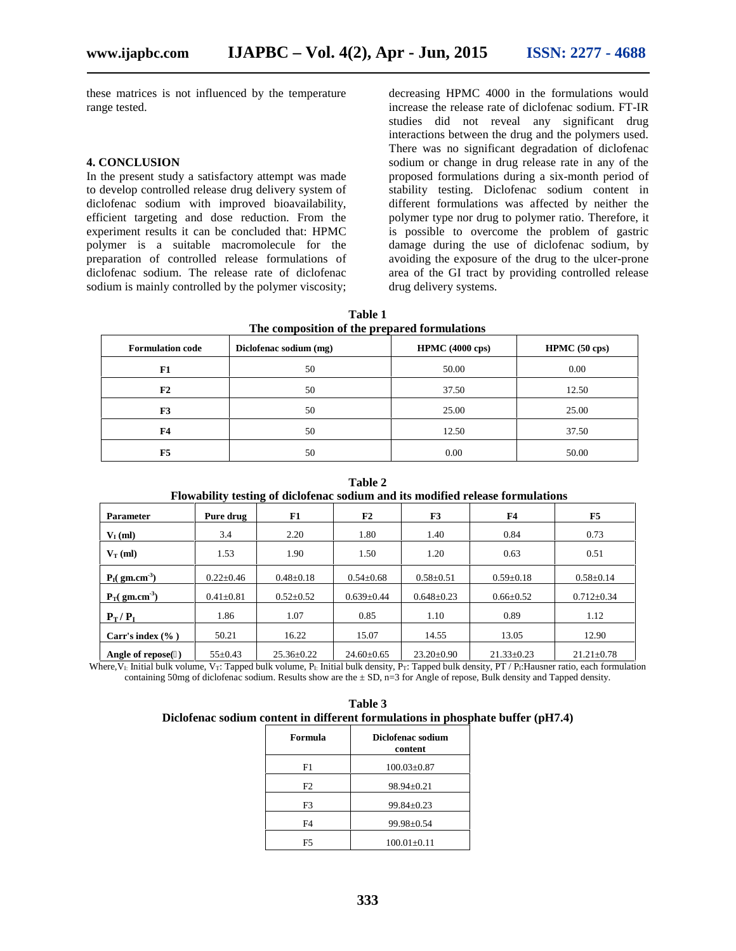these matrices is not influenced by the temperature range tested.

#### **4. CONCLUSION**

In the present study a satisfactory attempt was made to develop controlled release drug delivery system of diclofenac sodium with improved bioavailability, efficient targeting and dose reduction. From the experiment results it can be concluded that: HPMC polymer is a suitable macromolecule for the preparation of controlled release formulations of diclofenac sodium. The release rate of diclofenac sodium is mainly controlled by the polymer viscosity;

decreasing HPMC 4000 in the formulations would increase the release rate of diclofenac sodium. FT-IR studies did not reveal any significant drug interactions between the drug and the polymers used. There was no significant degradation of diclofenac sodium or change in drug release rate in any of the proposed formulations during a six-month period of stability testing. Diclofenac sodium content in different formulations was affected by neither the polymer type nor drug to polymer ratio. Therefore, it is possible to overcome the problem of gastric damage during the use of diclofenac sodium, by avoiding the exposure of the drug to the ulcer-prone area of the GI tract by providing controlled release drug delivery systems.

| Table 1                                      |
|----------------------------------------------|
| The composition of the prepared formulations |

| <b>Formulation code</b> | Diclofenac sodium (mg) | <b>HPMC</b> (4000 cps) | HPMC (50 cps) |
|-------------------------|------------------------|------------------------|---------------|
| F1                      | 50                     | 50.00                  | 0.00          |
| F2                      | 50                     | 37.50                  | 12.50         |
| F3                      | 50                     | 25.00                  | 25.00         |
| F <sub>4</sub>          | 50                     | 12.50                  | 37.50         |
| F <sub>5</sub>          | 50                     | 0.00                   | 50.00         |

**Table 2 Flowability testing of diclofenac sodium and its modified release formulations**

|                                      |                 | -                |                  |                  |                  |                  |
|--------------------------------------|-----------------|------------------|------------------|------------------|------------------|------------------|
| <b>Parameter</b>                     | Pure drug       | F1               | F2               | F3               | F <sub>4</sub>   | F5               |
| $V_{I}$ (ml)                         | 3.4             | 2.20             | 1.80             | 1.40             | 0.84             | 0.73             |
| $V_T$ (ml)                           | 1.53            | 1.90             | 1.50             | 1.20             | 0.63             | 0.51             |
| $I($ gm.cm <sup>-3</sup> )           | $0.22 + 0.46$   | $0.48 \pm 0.18$  | $0.54 \pm 0.68$  | $0.58 \pm 0.51$  | $0.59 \pm 0.18$  | $0.58 \pm 0.14$  |
| $_{\text{T}}$ (gm.cm <sup>-3</sup> ) | $0.41 \pm 0.81$ | $0.52 \pm 0.52$  | $0.639 \pm 0.44$ | $0.648 \pm 0.23$ | $0.66 \pm 0.52$  | $0.712 \pm 0.34$ |
| $P_T/$                               | 1.86            | 1.07             | 0.85             | 1.10             | 0.89             | 1.12             |
| Carr's index $(\%$ )                 | 50.21           | 16.22            | 15.07            | 14.55            | 13.05            | 12.90            |
| Angle of repose()                    | $55 \pm 0.43$   | $25.36 \pm 0.22$ | $24.60 \pm 0.65$ | $23.20 \pm 0.90$ | $21.33 \pm 0.23$ | $21.21 \pm 0.78$ |

Where, V<sub>I:</sub> Initial bulk volume, V<sub>T</sub>: Tapped bulk volume, P<sub>I:</sub> Initial bulk density, P<sub>T</sub>: Tapped bulk density, PT / P<sub>I</sub>:Hausner ratio, each formulation containing 50mg of diclofenac sodium. Results show are the  $\pm$  SD, n=3 for Angle of repose, Bulk density and Tapped density.

| Table 3                                                                         |
|---------------------------------------------------------------------------------|
| Diclofenac sodium content in different formulations in phosphate buffer (pH7.4) |

| Formula | Diclofenac sodium<br>content |
|---------|------------------------------|
| F1.     | $100.03 \pm 0.87$            |
| F2      | $98.94 \pm 0.21$             |
| F3      | $99.84 \pm 0.23$             |
| F4      | $99.98 \pm 0.54$             |
| F5      | $100.01 \pm 0.11$            |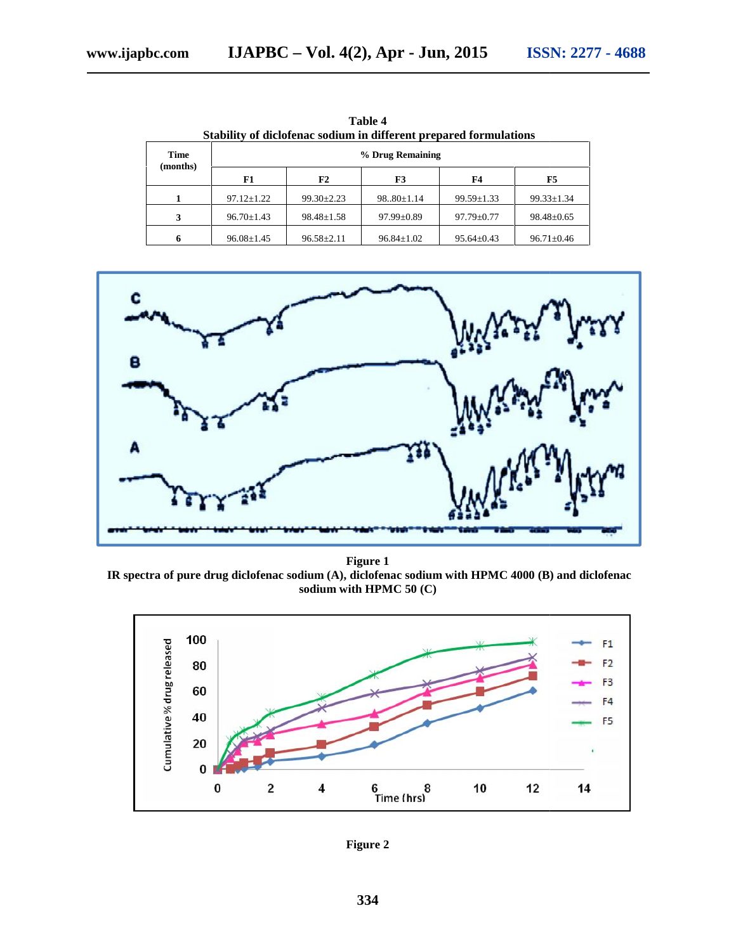| Stability of dictoreliac soutunt in unterent prepared formulations |                  |                  |                  |                  |                  |  |
|--------------------------------------------------------------------|------------------|------------------|------------------|------------------|------------------|--|
| <b>Time</b><br>(months)                                            | % Drug Remaining |                  |                  |                  |                  |  |
|                                                                    | F1               | F2               | F3               | F4               | F5               |  |
|                                                                    | $97.12 \pm 1.22$ | $99.30 \pm 2.23$ | $98.0 \pm 1.14$  | $99.59 \pm 1.33$ | $99.33 \pm 1.34$ |  |
| 3                                                                  | $96.70 \pm 1.43$ | $98.48 \pm 1.58$ | $97.99 \pm 0.89$ | $97.79 \pm 0.77$ | $98.48 \pm 0.65$ |  |
| 6                                                                  | $96.08 \pm 1.45$ | $96.58 \pm 2.11$ | $96.84 \pm 1.02$ | $95.64 \pm 0.43$ | $96.71 \pm 0.46$ |  |

**Table 4** Stability of diclofenac sodium in different prepared formulations t prepared formulations



**Figure 1 IR** spectra of pure drug diclofenac sodium (A), diclofenac sodium with HPMC 4000 (B) and diclofenac sodium with **HPMC 50** (C) **sodium with HPMC 50 (C)**



**Figure 2**